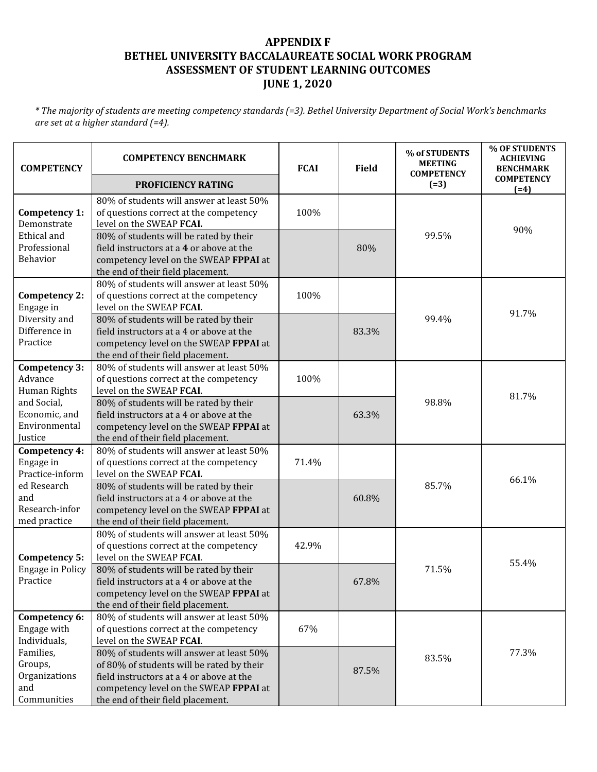## **APPENDIX F BETHEL UNIVERSITY BACCALAUREATE SOCIAL WORK PROGRAM ASSESSMENT OF STUDENT LEARNING OUTCOMES JUNE 1, 2020**

\* The majority of students are meeting competency standards (=3). Bethel University Department of Social Work's benchmarks *are set at a higher standard (=4).*

| <b>COMPETENCY</b>                                                                                           | <b>COMPETENCY BENCHMARK</b>                                                                                                                                                                                      | <b>FCAI</b> | <b>Field</b> | % of STUDENTS<br><b>MEETING</b><br><b>COMPETENCY</b> | % OF STUDENTS<br><b>ACHIEVING</b><br><b>BENCHMARK</b> |
|-------------------------------------------------------------------------------------------------------------|------------------------------------------------------------------------------------------------------------------------------------------------------------------------------------------------------------------|-------------|--------------|------------------------------------------------------|-------------------------------------------------------|
|                                                                                                             | PROFICIENCY RATING                                                                                                                                                                                               |             |              | $(=3)$                                               | <b>COMPETENCY</b><br>$(=4)$                           |
| Competency 1:<br>Demonstrate<br>Ethical and<br>Professional<br>Behavior                                     | 80% of students will answer at least 50%<br>of questions correct at the competency<br>level on the SWEAP FCAI.                                                                                                   | 100%        |              | 99.5%                                                | 90%                                                   |
|                                                                                                             | 80% of students will be rated by their<br>field instructors at a 4 or above at the<br>competency level on the SWEAP FPPAI at<br>the end of their field placement.                                                |             | 80%          |                                                      |                                                       |
| Competency 2:<br>Engage in<br>Diversity and<br>Difference in<br>Practice                                    | 80% of students will answer at least 50%<br>of questions correct at the competency<br>level on the SWEAP FCAI.                                                                                                   | 100%        |              | 99.4%                                                | 91.7%                                                 |
|                                                                                                             | 80% of students will be rated by their<br>field instructors at a 4 or above at the<br>competency level on the SWEAP FPPAI at<br>the end of their field placement.                                                |             | 83.3%        |                                                      |                                                       |
| Competency 3:<br>Advance<br>Human Rights<br>and Social,<br>Economic, and<br>Environmental<br>Justice        | 80% of students will answer at least 50%<br>of questions correct at the competency<br>level on the SWEAP FCAI.                                                                                                   | 100%        |              | 98.8%                                                | 81.7%                                                 |
|                                                                                                             | 80% of students will be rated by their<br>field instructors at a 4 or above at the<br>competency level on the SWEAP FPPAI at<br>the end of their field placement.                                                |             | 63.3%        |                                                      |                                                       |
| Competency 4:<br>Engage in<br>Practice-inform<br>ed Research<br>and<br>Research-infor<br>med practice       | 80% of students will answer at least 50%<br>of questions correct at the competency<br>level on the SWEAP FCAI.                                                                                                   | 71.4%       |              | 85.7%                                                | 66.1%                                                 |
|                                                                                                             | 80% of students will be rated by their<br>field instructors at a 4 or above at the<br>competency level on the SWEAP FPPAI at<br>the end of their field placement.                                                |             | 60.8%        |                                                      |                                                       |
| Competency 5:<br><b>Engage in Policy</b><br>Practice                                                        | 80% of students will answer at least 50%<br>of questions correct at the competency<br>level on the SWEAP FCAI.                                                                                                   | 42.9%       |              | 71.5%                                                | 55.4%                                                 |
|                                                                                                             | 80% of students will be rated by their<br>field instructors at a 4 or above at the<br>competency level on the SWEAP FPPAI at<br>the end of their field placement.                                                |             | 67.8%        |                                                      |                                                       |
| Competency 6:<br>Engage with<br>Individuals,<br>Families,<br>Groups,<br>Organizations<br>and<br>Communities | 80% of students will answer at least 50%<br>of questions correct at the competency<br>level on the SWEAP FCAI.                                                                                                   | 67%         |              | 83.5%                                                | 77.3%                                                 |
|                                                                                                             | 80% of students will answer at least 50%<br>of 80% of students will be rated by their<br>field instructors at a 4 or above at the<br>competency level on the SWEAP FPPAI at<br>the end of their field placement. |             | 87.5%        |                                                      |                                                       |